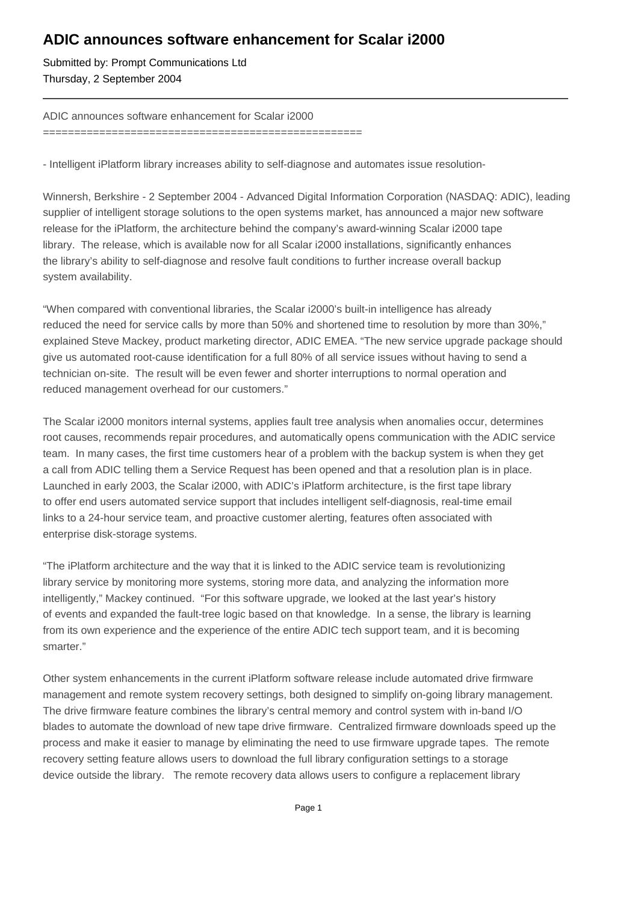## **ADIC announces software enhancement for Scalar i2000**

Submitted by: Prompt Communications Ltd Thursday, 2 September 2004

### ADIC announces software enhancement for Scalar i2000

===================================================

- Intelligent iPlatform library increases ability to self-diagnose and automates issue resolution-

Winnersh, Berkshire - 2 September 2004 - Advanced Digital Information Corporation (NASDAQ: ADIC), leading supplier of intelligent storage solutions to the open systems market, has announced a major new software release for the iPlatform, the architecture behind the company's award-winning Scalar i2000 tape library. The release, which is available now for all Scalar i2000 installations, significantly enhances the library's ability to self-diagnose and resolve fault conditions to further increase overall backup system availability.

"When compared with conventional libraries, the Scalar i2000's built-in intelligence has already reduced the need for service calls by more than 50% and shortened time to resolution by more than 30%," explained Steve Mackey, product marketing director, ADIC EMEA. "The new service upgrade package should give us automated root-cause identification for a full 80% of all service issues without having to send a technician on-site. The result will be even fewer and shorter interruptions to normal operation and reduced management overhead for our customers."

The Scalar i2000 monitors internal systems, applies fault tree analysis when anomalies occur, determines root causes, recommends repair procedures, and automatically opens communication with the ADIC service team. In many cases, the first time customers hear of a problem with the backup system is when they get a call from ADIC telling them a Service Request has been opened and that a resolution plan is in place. Launched in early 2003, the Scalar i2000, with ADIC's iPlatform architecture, is the first tape library to offer end users automated service support that includes intelligent self-diagnosis, real-time email links to a 24-hour service team, and proactive customer alerting, features often associated with enterprise disk-storage systems.

"The iPlatform architecture and the way that it is linked to the ADIC service team is revolutionizing library service by monitoring more systems, storing more data, and analyzing the information more intelligently," Mackey continued. "For this software upgrade, we looked at the last year's history of events and expanded the fault-tree logic based on that knowledge. In a sense, the library is learning from its own experience and the experience of the entire ADIC tech support team, and it is becoming smarter."

Other system enhancements in the current iPlatform software release include automated drive firmware management and remote system recovery settings, both designed to simplify on-going library management. The drive firmware feature combines the library's central memory and control system with in-band I/O blades to automate the download of new tape drive firmware. Centralized firmware downloads speed up the process and make it easier to manage by eliminating the need to use firmware upgrade tapes. The remote recovery setting feature allows users to download the full library configuration settings to a storage device outside the library. The remote recovery data allows users to configure a replacement library